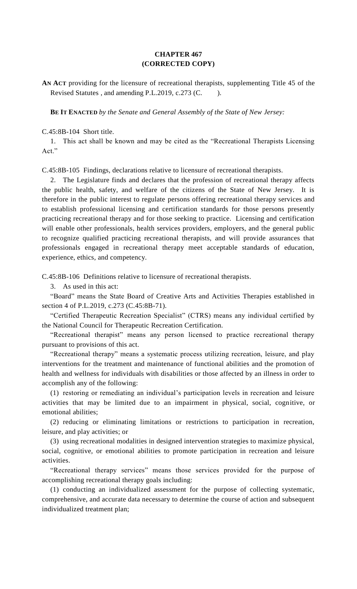## **CHAPTER 467 (CORRECTED COPY)**

**AN ACT** providing for the licensure of recreational therapists, supplementing Title 45 of the Revised Statutes, and amending P.L.2019, c.273 (C. ).

**BE IT ENACTED** *by the Senate and General Assembly of the State of New Jersey:*

C.45:8B-104 Short title.

1. This act shall be known and may be cited as the "Recreational Therapists Licensing Act."

C.45:8B-105 Findings, declarations relative to licensure of recreational therapists.

2. The Legislature finds and declares that the profession of recreational therapy affects the public health, safety, and welfare of the citizens of the State of New Jersey. It is therefore in the public interest to regulate persons offering recreational therapy services and to establish professional licensing and certification standards for those persons presently practicing recreational therapy and for those seeking to practice. Licensing and certification will enable other professionals, health services providers, employers, and the general public to recognize qualified practicing recreational therapists, and will provide assurances that professionals engaged in recreational therapy meet acceptable standards of education, experience, ethics, and competency.

C.45:8B-106 Definitions relative to licensure of recreational therapists.

3. As used in this act:

"Board" means the State Board of Creative Arts and Activities Therapies established in section 4 of P.L.2019, c.273 (C.45:8B-71).

"Certified Therapeutic Recreation Specialist" (CTRS) means any individual certified by the National Council for Therapeutic Recreation Certification.

"Recreational therapist" means any person licensed to practice recreational therapy pursuant to provisions of this act.

"Recreational therapy" means a systematic process utilizing recreation, leisure, and play interventions for the treatment and maintenance of functional abilities and the promotion of health and wellness for individuals with disabilities or those affected by an illness in order to accomplish any of the following:

(1) restoring or remediating an individual's participation levels in recreation and leisure activities that may be limited due to an impairment in physical, social, cognitive, or emotional abilities;

(2) reducing or eliminating limitations or restrictions to participation in recreation, leisure, and play activities; or

(3) using recreational modalities in designed intervention strategies to maximize physical, social, cognitive, or emotional abilities to promote participation in recreation and leisure activities.

"Recreational therapy services" means those services provided for the purpose of accomplishing recreational therapy goals including:

(1) conducting an individualized assessment for the purpose of collecting systematic, comprehensive, and accurate data necessary to determine the course of action and subsequent individualized treatment plan;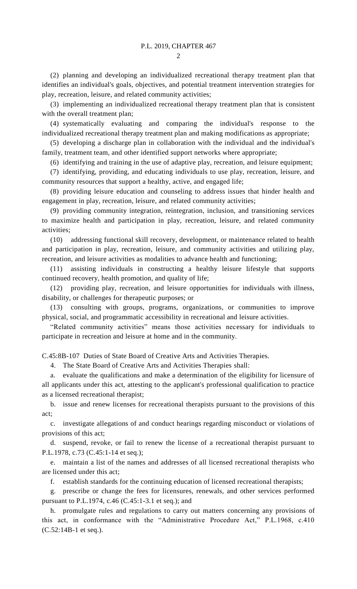$\mathcal{D}_{\mathcal{L}}$ 

(2) planning and developing an individualized recreational therapy treatment plan that identifies an individual's goals, objectives, and potential treatment intervention strategies for play, recreation, leisure, and related community activities;

(3) implementing an individualized recreational therapy treatment plan that is consistent with the overall treatment plan;

(4) systematically evaluating and comparing the individual's response to the individualized recreational therapy treatment plan and making modifications as appropriate;

(5) developing a discharge plan in collaboration with the individual and the individual's family, treatment team, and other identified support networks where appropriate;

(6) identifying and training in the use of adaptive play, recreation, and leisure equipment;

(7) identifying, providing, and educating individuals to use play, recreation, leisure, and community resources that support a healthy, active, and engaged life;

(8) providing leisure education and counseling to address issues that hinder health and engagement in play, recreation, leisure, and related community activities;

(9) providing community integration, reintegration, inclusion, and transitioning services to maximize health and participation in play, recreation, leisure, and related community activities;

(10) addressing functional skill recovery, development, or maintenance related to health and participation in play, recreation, leisure, and community activities and utilizing play, recreation, and leisure activities as modalities to advance health and functioning;

(11) assisting individuals in constructing a healthy leisure lifestyle that supports continued recovery, health promotion, and quality of life;

(12) providing play, recreation, and leisure opportunities for individuals with illness, disability, or challenges for therapeutic purposes; or

(13) consulting with groups, programs, organizations, or communities to improve physical, social, and programmatic accessibility in recreational and leisure activities.

"Related community activities" means those activities necessary for individuals to participate in recreation and leisure at home and in the community.

C.45:8B-107 Duties of State Board of Creative Arts and Activities Therapies.

4. The State Board of Creative Arts and Activities Therapies shall:

a. evaluate the qualifications and make a determination of the eligibility for licensure of all applicants under this act, attesting to the applicant's professional qualification to practice as a licensed recreational therapist;

b. issue and renew licenses for recreational therapists pursuant to the provisions of this act;

c. investigate allegations of and conduct hearings regarding misconduct or violations of provisions of this act;

d. suspend, revoke, or fail to renew the license of a recreational therapist pursuant to P.L.1978, c.73 (C.45:1-14 et seq.);

e. maintain a list of the names and addresses of all licensed recreational therapists who are licensed under this act;

f. establish standards for the continuing education of licensed recreational therapists;

g. prescribe or change the fees for licensures, renewals, and other services performed pursuant to P.L.1974, c.46 (C.45:1-3.1 et seq.); and

h. promulgate rules and regulations to carry out matters concerning any provisions of this act, in conformance with the "Administrative Procedure Act," P.L.1968, c.410 (C.52:14B-1 et seq.).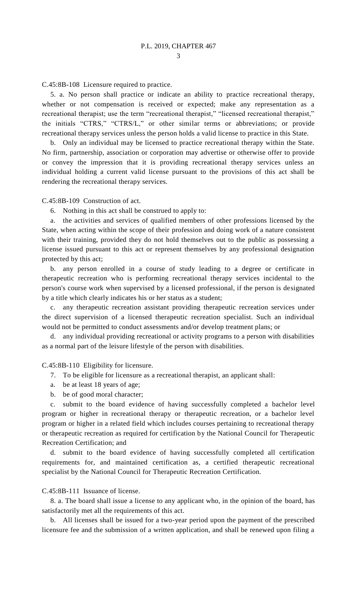C.45:8B-108 Licensure required to practice.

5. a. No person shall practice or indicate an ability to practice recreational therapy, whether or not compensation is received or expected; make any representation as a recreational therapist; use the term "recreational therapist," "licensed recreational therapist," the initials "CTRS," "CTRS/L," or other similar terms or abbreviations; or provide recreational therapy services unless the person holds a valid license to practice in this State.

b. Only an individual may be licensed to practice recreational therapy within the State. No firm, partnership, association or corporation may advertise or otherwise offer to provide or convey the impression that it is providing recreational therapy services unless an individual holding a current valid license pursuant to the provisions of this act shall be rendering the recreational therapy services.

C.45:8B-109 Construction of act.

6. Nothing in this act shall be construed to apply to:

a. the activities and services of qualified members of other professions licensed by the State, when acting within the scope of their profession and doing work of a nature consistent with their training, provided they do not hold themselves out to the public as possessing a license issued pursuant to this act or represent themselves by any professional designation protected by this act;

b. any person enrolled in a course of study leading to a degree or certificate in therapeutic recreation who is performing recreational therapy services incidental to the person's course work when supervised by a licensed professional, if the person is designated by a title which clearly indicates his or her status as a student;

c. any therapeutic recreation assistant providing therapeutic recreation services under the direct supervision of a licensed therapeutic recreation specialist. Such an individual would not be permitted to conduct assessments and/or develop treatment plans; or

d. any individual providing recreational or activity programs to a person with disabilities as a normal part of the leisure lifestyle of the person with disabilities.

C.45:8B-110 Eligibility for licensure.

- 7. To be eligible for licensure as a recreational therapist, an applicant shall:
- a. be at least 18 years of age;
- b. be of good moral character;

c. submit to the board evidence of having successfully completed a bachelor level program or higher in recreational therapy or therapeutic recreation, or a bachelor level program or higher in a related field which includes courses pertaining to recreational therapy or therapeutic recreation as required for certification by the National Council for Therapeutic Recreation Certification; and

d. submit to the board evidence of having successfully completed all certification requirements for, and maintained certification as, a certified therapeutic recreational specialist by the National Council for Therapeutic Recreation Certification.

## C.45:8B-111 Issuance of license.

8. a. The board shall issue a license to any applicant who, in the opinion of the board, has satisfactorily met all the requirements of this act.

b. All licenses shall be issued for a two-year period upon the payment of the prescribed licensure fee and the submission of a written application, and shall be renewed upon filing a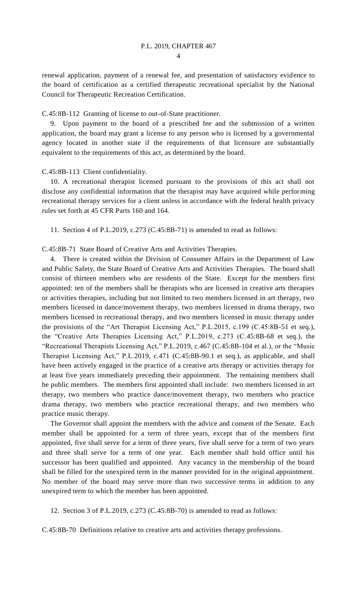renewal application, payment of a renewal fee, and presentation of satisfactory evidence to the board of certification as a certified therapeutic recreational specialist by the National Council for Therapeutic Recreation Certification.

C.45:8B-112 Granting of license to out-of-State practitioner.

9. Upon payment to the board of a prescribed fee and the submission of a written application, the board may grant a license to any person who is licensed by a governmental agency located in another state if the requirements of that licensure are substantially equivalent to the requirements of this act, as determined by the board.

C.45:8B-113 Client confidentiality.

10. A recreational therapist licensed pursuant to the provisions of this act shall not disclose any confidential information that the therapist may have acquired while performing recreational therapy services for a client unless in accordance with the federal health privacy rules set forth at 45 CFR Parts 160 and 164.

11. Section 4 of P.L.2019, c.273 (C.45:8B-71) is amended to read as follows:

C.45:8B-71 State Board of Creative Arts and Activities Therapies.

There is created within the Division of Consumer Affairs in the Department of Law and Public Safety, the State Board of Creative Arts and Activities Therapies. The board shall consist of thirteen members who are residents of the State. Except for the members first appointed: ten of the members shall be therapists who are licensed in creative arts therapies or activities therapies, including but not limited to two members licensed in art therapy, two members licensed in dance/movement therapy, two members licensed in drama therapy, two members licensed in recreational therapy, and two members licensed in music therapy under the provisions of the "Art Therapist Licensing Act," P.L.2015, c.199 (C.45:8B-51 et seq.), the "Creative Arts Therapies Licensing Act," P.L.2019, c.273 (C.45:8B-68 et seq.), the "Recreational Therapists Licensing Act," P.L.2019, c.467 (C.45:8B-104 et al.), or the "Music Therapist Licensing Act," P.L.2019, c.471 (C.45:8B-90.1 et seq.), as applicable, and shall have been actively engaged in the practice of a creative arts therapy or activities therapy for at least five years immediately preceding their appointment. The remaining members shall be public members. The members first appointed shall include: two members licensed in art therapy, two members who practice dance/movement therapy, two members who practice drama therapy, two members who practice recreational therapy, and two members who practice music therapy.

The Governor shall appoint the members with the advice and consent of the Senate. Each member shall be appointed for a term of three years, except that of the members first appointed, five shall serve for a term of three years, five shall serve for a term of two years and three shall serve for a term of one year. Each member shall hold office until his successor has been qualified and appointed. Any vacancy in the membership of the board shall be filled for the unexpired term in the manner provided for in the original appointment. No member of the board may serve more than two successive terms in addition to any unexpired term to which the member has been appointed.

12. Section 3 of P.L.2019, c.273 (C.45:8B-70) is amended to read as follows:

C.45:8B-70 Definitions relative to creative arts and activities therapy professions.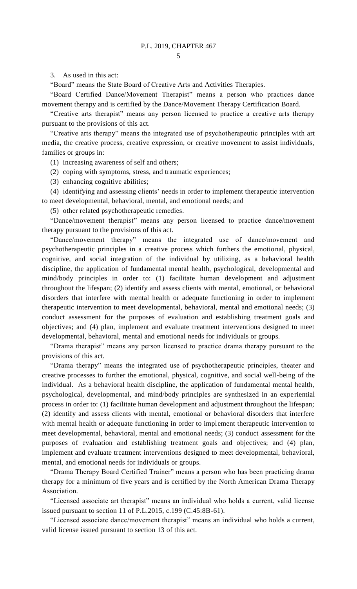3. As used in this act:

"Board" means the State Board of Creative Arts and Activities Therapies.

"Board Certified Dance/Movement Therapist" means a person who practices dance movement therapy and is certified by the Dance/Movement Therapy Certification Board.

"Creative arts therapist" means any person licensed to practice a creative arts therapy pursuant to the provisions of this act.

"Creative arts therapy" means the integrated use of psychotherapeutic principles with art media, the creative process, creative expression, or creative movement to assist individuals, families or groups in:

(1) increasing awareness of self and others;

- (2) coping with symptoms, stress, and traumatic experiences;
- (3) enhancing cognitive abilities;

(4) identifying and assessing clients' needs in order to implement therapeutic intervention to meet developmental, behavioral, mental, and emotional needs; and

(5) other related psychotherapeutic remedies.

"Dance/movement therapist" means any person licensed to practice dance/movement therapy pursuant to the provisions of this act.

"Dance/movement therapy" means the integrated use of dance/movement and psychotherapeutic principles in a creative process which furthers the emotional, physical, cognitive, and social integration of the individual by utilizing, as a behavioral health discipline, the application of fundamental mental health, psychological, developmental and mind/body principles in order to: (1) facilitate human development and adjustment throughout the lifespan; (2) identify and assess clients with mental, emotional, or behavioral disorders that interfere with mental health or adequate functioning in order to implement therapeutic intervention to meet developmental, behavioral, mental and emotional needs; (3) conduct assessment for the purposes of evaluation and establishing treatment goals and objectives; and (4) plan, implement and evaluate treatment interventions designed to meet developmental, behavioral, mental and emotional needs for individuals or groups.

"Drama therapist" means any person licensed to practice drama therapy pursuant to the provisions of this act.

"Drama therapy" means the integrated use of psychotherapeutic principles, theater and creative processes to further the emotional, physical, cognitive, and social well-being of the individual. As a behavioral health discipline, the application of fundamental mental health, psychological, developmental, and mind/body principles are synthesized in an experiential process in order to: (1) facilitate human development and adjustment throughout the lifespan; (2) identify and assess clients with mental, emotional or behavioral disorders that interfere with mental health or adequate functioning in order to implement therapeutic intervention to meet developmental, behavioral, mental and emotional needs; (3) conduct assessment for the purposes of evaluation and establishing treatment goals and objectives; and (4) plan, implement and evaluate treatment interventions designed to meet developmental, behavioral, mental, and emotional needs for individuals or groups.

"Drama Therapy Board Certified Trainer" means a person who has been practicing drama therapy for a minimum of five years and is certified by the North American Drama Therapy Association.

"Licensed associate art therapist" means an individual who holds a current, valid license issued pursuant to section 11 of P.L.2015, c.199 (C.45:8B-61).

"Licensed associate dance/movement therapist" means an individual who holds a current, valid license issued pursuant to section 13 of this act.